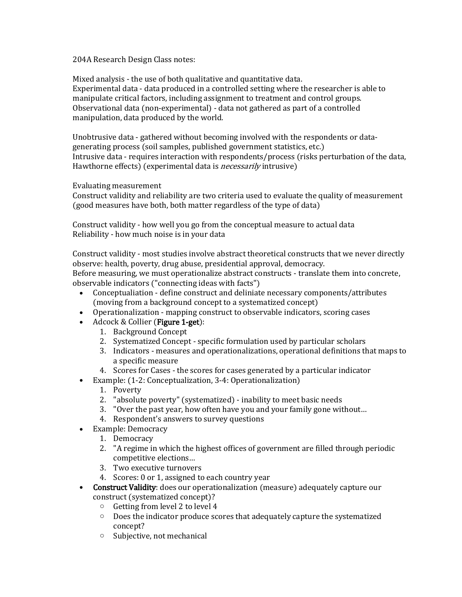204A Research Design Class notes:

Mixed analysis - the use of both qualitative and quantitative data. Experimental data - data produced in a controlled setting where the researcher is able to manipulate critical factors, including assignment to treatment and control groups. Observational data (non-experimental) - data not gathered as part of a controlled manipulation, data produced by the world.

Unobtrusive data - gathered without becoming involved with the respondents or datagenerating process (soil samples, published government statistics, etc.) Intrusive data - requires interaction with respondents/process (risks perturbation of the data, Hawthorne effects) (experimental data is *necessarily* intrusive)

Evaluating measurement

Construct validity and reliability are two criteria used to evaluate the quality of measurement (good measures have both, both matter regardless of the type of data)

Construct validity - how well you go from the conceptual measure to actual data Reliability - how much noise is in your data

Construct validity - most studies involve abstract theoretical constructs that we never directly observe: health, poverty, drug abuse, presidential approval, democracy. Before measuring, we must operationalize abstract constructs - translate them into concrete, observable indicators ("connecting ideas with facts")

- Conceptualiation define construct and deliniate necessary components/attributes (moving from a background concept to a systematized concept)
- Operationalization mapping construct to observable indicators, scoring cases
- Adcock & Collier (Figure 1-get):
	- 1. Background Concept
	- 2. Systematized Concept specific formulation used by particular scholars
	- 3. Indicators measures and operationalizations, operational definitions that maps to a specific measure
	- 4. Scores for Cases the scores for cases generated by a particular indicator
- Example: (1-2: Conceptualization, 3-4: Operationalization)
	- 1. Poverty
	- 2. "absolute poverty" (systematized) inability to meet basic needs
	- 3. "Over the past year, how often have you and your family gone without…
	- 4. Respondent's answers to survey questions
- Example: Democracy
	- 1. Democracy
	- 2. "A regime in which the highest offices of government are filled through periodic competitive elections…
	- 3. Two executive turnovers
	- 4. Scores: 0 or 1, assigned to each country year
- Construct Validity: does our operationalization (measure) adequately capture our construct (systematized concept)?
	- o Getting from level 2 to level 4
	- o Does the indicator produce scores that adequately capture the systematized concept?
	- o Subjective, not mechanical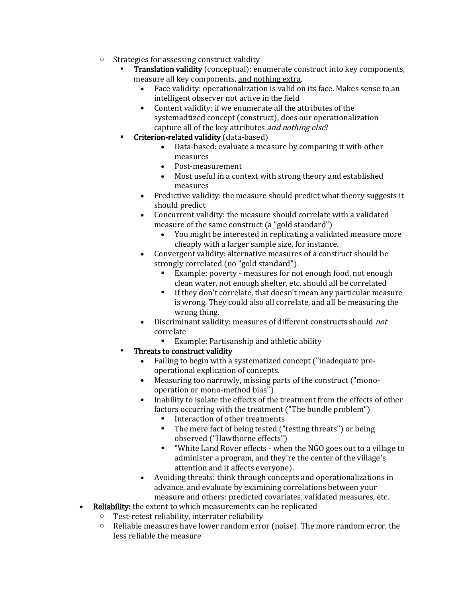- o Strategies for assessing construct validity
	- **Translation validity** (conceptual): enumerate construct into key components, measure all key components, and nothing extra.
		- Face validity: operationalization is valid on its face. Makes sense to an intelligent observer not active in the field
		- Content validity: if we enumerate all the attributes of the systemadtized concept (construct), does our operationalization capture all of the key attributes and nothing else?
	- **Criterion-related validity** (data-based)
		- Data-based: evaluate a measure by comparing it with other measures
		- Post-measurement
		- Most useful in a context with strong theory and established measures
		- Predictive validity: the measure should predict what theory suggests it should predict
		- Concurrent validity: the measure should correlate with a validated measure of the same construct (a "gold standard")
			- You might be interested in replicating a validated measure more cheaply with a larger sample size, for instance.
		- Convergent validity: alternative measures of a construct should be strongly correlated (no "gold standard")
			- Example: poverty measures for not enough food, not enough clean water, not enough shelter, etc. should all be correlated
			- If they don't correlate, that doesn't mean any particular measure is wrong. They could also all correlate, and all be measuring the wrong thing.
		- Discriminant validity: measures of different constructs should not correlate
			- Example: Partisanship and athletic ability
	- Threats to construct validity
		- Failing to begin with a systematized concept ("inadequate preoperational explication of concepts.
		- Measuring too narrowly, missing parts of the construct ("monooperation or mono-method bias")
		- Inability to isolate the effects of the treatment from the effects of other factors occurring with the treatment ("The bundle problem")
			- Interaction of other treatments
			- The mere fact of being tested ("testing threats") or being observed ("Hawthorne effects")
			- "White Land Rover effects when the NGO goes out to a village to administer a program, and they're the center of the village's attention and it affects everyone).
		- Avoiding threats: think through concepts and operationalizations in advance, and evaluate by examining correlations between your measure and others: predicted covariates, validated measures, etc.
- Reliability: the extent to which measurements can be replicated
	- o Test-retest reliability, interrater reliability
	- o Reliable measures have lower random error (noise). The more random error, the less reliable the measure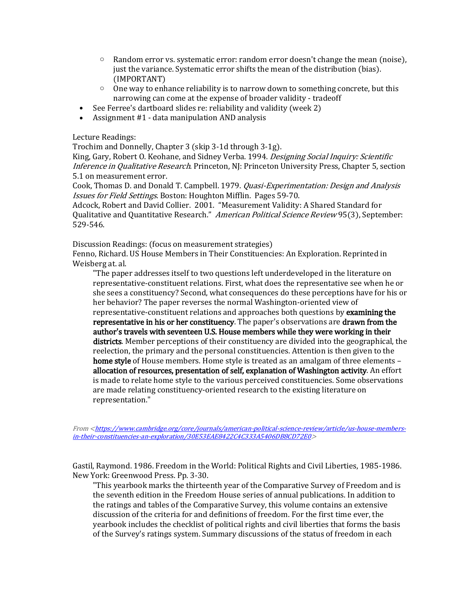- $\circ$  Random error vs. systematic error: random error doesn't change the mean (noise), just the variance. Systematic error shifts the mean of the distribution (bias). (IMPORTANT)
- $\circ$  One way to enhance reliability is to narrow down to something concrete, but this narrowing can come at the expense of broader validity - tradeoff
- See Ferree's dartboard slides re: reliability and validity (week 2)
- Assignment #1 data manipulation AND analysis

Lecture Readings:

Trochim and Donnelly, Chapter 3 (skip 3-1d through 3-1g).

King, Gary, Robert O. Keohane, and Sidney Verba. 1994. Designing Social Inquiry: Scientific Inference in Qualitative Research. Princeton, NJ: Princeton University Press, Chapter 5, section 5.1 on measurement error.

Cook, Thomas D. and Donald T. Campbell. 1979. Quasi-Experimentation: Design and Analysis Issues for Field Settings. Boston: Houghton Mifflin. Pages 59-70.

Adcock, Robert and David Collier. 2001. "Measurement Validity: A Shared Standard for Qualitative and Quantitative Research." American Political Science Review 95(3), September: 529-546.

Discussion Readings: (focus on measurement strategies)

Fenno, Richard. US House Members in Their Constituencies: An Exploration. Reprinted in Weisberg at. al.

"The paper addresses itself to two questions left underdeveloped in the literature on representative-constituent relations. First, what does the representative see when he or she sees a constituency? Second, what consequences do these perceptions have for his or her behavior? The paper reverses the normal Washington-oriented view of representative-constituent relations and approaches both questions by examining the representative in his or her constituency. The paper's observations are drawn from the author's travels with seventeen U.S. House members while they were working in their districts. Member perceptions of their constituency are divided into the geographical, the reelection, the primary and the personal constituencies. Attention is then given to the home style of House members. Home style is treated as an amalgam of three elements – allocation of resources, presentation of self, explanation of Washington activity. An effort is made to relate home style to the various perceived constituencies. Some observations are made relating constituency-oriented research to the existing literature on representation."

From [<https://www.cambridge.org/core/journals/american-political-science-review/article/us-house-members](https://www.cambridge.org/core/journals/american-political-science-review/article/us-house-members-in-their-constituencies-an-exploration/30E53EAE8422C4C333A5406DB8CD72E0)[in-their-constituencies-an-exploration/30E53EAE8422C4C333A5406DB8CD72E0>](https://www.cambridge.org/core/journals/american-political-science-review/article/us-house-members-in-their-constituencies-an-exploration/30E53EAE8422C4C333A5406DB8CD72E0)

Gastil, Raymond. 1986. Freedom in the World: Political Rights and Civil Liberties, 1985-1986. New York: Greenwood Press. Pp. 3-30.

"This yearbook marks the thirteenth year of the Comparative Survey of Freedom and is the seventh edition in the Freedom House series of annual publications. In addition to the ratings and tables of the Comparative Survey, this volume contains an extensive discussion of the criteria for and definitions of freedom. For the first time ever, the yearbook includes the checklist of political rights and civil liberties that forms the basis of the Survey's ratings system. Summary discussions of the status of freedom in each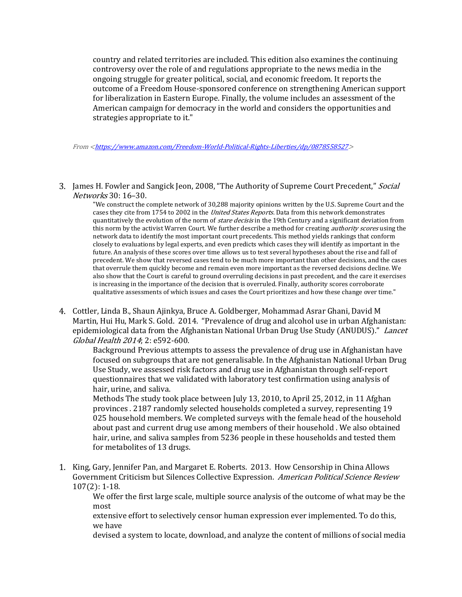country and related territories are included. This edition also examines the continuing controversy over the role of and regulations appropriate to the news media in the ongoing struggle for greater political, social, and economic freedom. It reports the outcome of a Freedom House-sponsored conference on strengthening American support for liberalization in Eastern Europe. Finally, the volume includes an assessment of the American campaign for democracy in the world and considers the opportunities and strategies appropriate to it."

From [<https://www.amazon.com/Freedom-World-Political-Rights-Liberties/dp/0878558527>](https://www.amazon.com/Freedom-World-Political-Rights-Liberties/dp/0878558527)

3. James H. Fowler and Sangick Jeon, 2008, "The Authority of Supreme Court Precedent," Social Networks 30: 16–30.

"We construct the complete network of 30,288 majority opinions written by the U.S. Supreme Court and the cases they cite from 1754 to 2002 in the *United States Reports*. Data from this network demonstrates quantitatively the evolution of the norm of *stare decisis* in the 19th Century and a significant deviation from this norm by the activist Warren Court. We further describe a method for creating *authority scores* using the network data to identify the most important court precedents. This method yields rankings that conform closely to evaluations by legal experts, and even predicts which cases they will identify as important in the future. An analysis of these scores over time allows us to test several hypotheses about the rise and fall of precedent. We show that reversed cases tend to be much more important than other decisions, and the cases that overrule them quickly become and remain even more important as the reversed decisions decline. We also show that the Court is careful to ground overruling decisions in past precedent, and the care it exercises is increasing in the importance of the decision that is overruled. Finally, authority scores corroborate qualitative assessments of which issues and cases the Court prioritizes and how these change over time."

4. Cottler, Linda B., Shaun Ajinkya, Bruce A. Goldberger, Mohammad Asrar Ghani, David M Martin, Hui Hu, Mark S. Gold. 2014. "Prevalence of drug and alcohol use in urban Afghanistan: epidemiological data from the Afghanistan National Urban Drug Use Study (ANUDUS)." Lancet Global Health 2014; 2: e592-600.

Background Previous attempts to assess the prevalence of drug use in Afghanistan have focused on subgroups that are not generalisable. In the Afghanistan National Urban Drug Use Study, we assessed risk factors and drug use in Afghanistan through self-report questionnaires that we validated with laboratory test confirmation using analysis of hair, urine, and saliva.

Methods The study took place between July 13, 2010, to April 25, 2012, in 11 Afghan provinces . 2187 randomly selected households completed a survey, representing 19 025 household members. We completed surveys with the female head of the household about past and current drug use among members of their household . We also obtained hair, urine, and saliva samples from 5236 people in these households and tested them for metabolites of 13 drugs.

1. King, Gary, Jennifer Pan, and Margaret E. Roberts. 2013. How Censorship in China Allows Government Criticism but Silences Collective Expression. American Political Science Review 107(2): 1-18.

We offer the first large scale, multiple source analysis of the outcome of what may be the most

extensive effort to selectively censor human expression ever implemented. To do this, we have

devised a system to locate, download, and analyze the content of millions of social media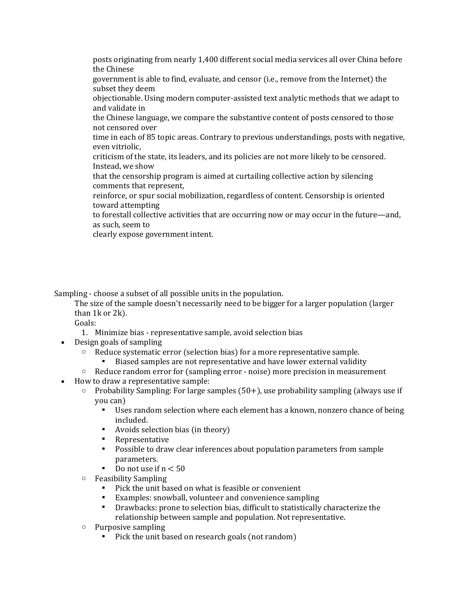posts originating from nearly 1,400 different social media services all over China before the Chinese

government is able to find, evaluate, and censor (i.e., remove from the Internet) the subset they deem

objectionable. Using modern computer-assisted text analytic methods that we adapt to and validate in

the Chinese language, we compare the substantive content of posts censored to those not censored over

time in each of 85 topic areas. Contrary to previous understandings, posts with negative, even vitriolic,

criticism of the state, its leaders, and its policies are not more likely to be censored. Instead, we show

that the censorship program is aimed at curtailing collective action by silencing comments that represent,

reinforce, or spur social mobilization, regardless of content. Censorship is oriented toward attempting

to forestall collective activities that are occurring now or may occur in the future—and, as such, seem to

clearly expose government intent.

Sampling - choose a subset of all possible units in the population.

The size of the sample doesn't necessarily need to be bigger for a larger population (larger than 1k or 2k).

Goals:

1. Minimize bias - representative sample, avoid selection bias

- Design goals of sampling
	- o Reduce systematic error (selection bias) for a more representative sample.
		- Biased samples are not representative and have lower external validity
	- $\circ$  Reduce random error for (sampling error noise) more precision in measurement
- How to draw a representative sample:
	- $\circ$  Probability Sampling: For large samples (50+), use probability sampling (always use if you can)
		- Uses random selection where each element has a known, nonzero chance of being included.
		- Avoids selection bias (in theory)
		- **Representative**
		- Possible to draw clear inferences about population parameters from sample parameters.
		- Do not use if  $n < 50$
	- o Feasibility Sampling
		- Pick the unit based on what is feasible or convenient
		- Examples: snowball, volunteer and convenience sampling
		- Drawbacks: prone to selection bias, difficult to statistically characterize the relationship between sample and population. Not representative.
	- o Purposive sampling
		- Pick the unit based on research goals (not random)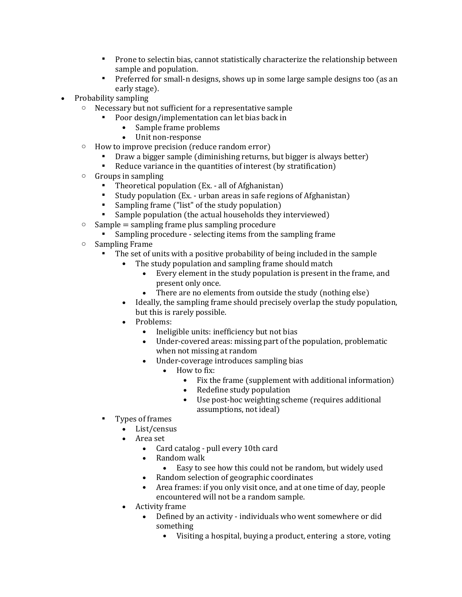- Prone to selectin bias, cannot statistically characterize the relationship between sample and population.
- **•** Preferred for small-n designs, shows up in some large sample designs too (as an early stage).
- Probability sampling
	- o Necessary but not sufficient for a representative sample
		- Poor design/implementation can let bias back in
			- Sample frame problems
			- Unit non-response
	- o How to improve precision (reduce random error)
		- Draw a bigger sample (diminishing returns, but bigger is always better)
		- Reduce variance in the quantities of interest (by stratification)
	- o Groups in sampling
		- Theoretical population (Ex. all of Afghanistan)
		- Study population (Ex. urban areas in safe regions of Afghanistan)
		- Sampling frame ("list" of the study population)
		- Sample population (the actual households they interviewed)
	- $\circ$  Sample = sampling frame plus sampling procedure
		- Sampling procedure selecting items from the sampling frame
	- o Sampling Frame
		- The set of units with a positive probability of being included in the sample
			- The study population and sampling frame should match
				- Every element in the study population is present in the frame, and present only once.
				- There are no elements from outside the study (nothing else)
			- Ideally, the sampling frame should precisely overlap the study population, but this is rarely possible.
			- Problems:
				- Ineligible units: inefficiency but not bias
				- Under-covered areas: missing part of the population, problematic when not missing at random
				- Under-coverage introduces sampling bias
					- How to fix:
						- Fix the frame (supplement with additional information)
						- Redefine study population
						- Use post-hoc weighting scheme (requires additional assumptions, not ideal)
		- Types of frames
			- List/census
			- Area set
				- Card catalog pull every 10th card
				- Random walk
					- Easy to see how this could not be random, but widely used
				- Random selection of geographic coordinates
				- Area frames: if you only visit once, and at one time of day, people encountered will not be a random sample.
			- Activity frame
				- Defined by an activity individuals who went somewhere or did something
					- Visiting a hospital, buying a product, entering a store, voting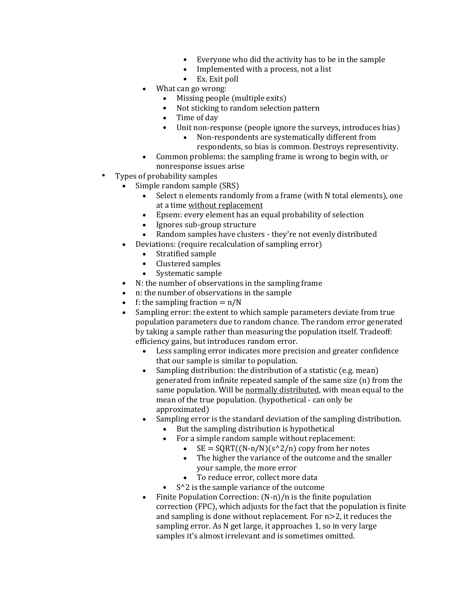- Everyone who did the activity has to be in the sample
- Implemented with a process, not a list
- Ex. Exit poll
- What can go wrong:
	- Missing people (multiple exits)
	- Not sticking to random selection pattern
	- Time of day
	- Unit non-response (people ignore the surveys, introduces bias)
		- Non-respondents are systematically different from respondents, so bias is common. Destroys representivity.
- Common problems: the sampling frame is wrong to begin with, or nonresponse issues arise
- Types of probability samples
	- Simple random sample (SRS)
		- Select n elements randomly from a frame (with N total elements), one at a time without replacement
		- Epsem: every element has an equal probability of selection
		- Ignores sub-group structure
		- Random samples have clusters they're not evenly distributed
	- Deviations: (require recalculation of sampling error)
		- Stratified sample
		- Clustered samples
		- Systematic sample
	- N: the number of observations in the sampling frame
	- n: the number of observations in the sample
	- f: the sampling fraction  $= n/N$
	- Sampling error: the extent to which sample parameters deviate from true population parameters due to random chance. The random error generated by taking a sample rather than measuring the population itself. Tradeoff: efficiency gains, but introduces random error.
		- Less sampling error indicates more precision and greater confidence that our sample is similar to population.
		- Sampling distribution: the distribution of a statistic (e.g. mean) generated from infinite repeated sample of the same size (n) from the same population. Will be normally distributed, with mean equal to the mean of the true population. (hypothetical - can only be approximated)
		- Sampling error is the standard deviation of the sampling distribution.
			- But the sampling distribution is hypothetical
			- For a simple random sample without replacement:
				- $SE = \text{SQRT}((N-n/N)(s^2/n))$  copy from her notes
				- The higher the variance of the outcome and the smaller your sample, the more error
				- To reduce error, collect more data
				- $S^2$  is the sample variance of the outcome
		- Finite Population Correction: (N-n)/n is the finite population correction (FPC), which adjusts for the fact that the population is finite and sampling is done without replacement. For n>2, it reduces the sampling error. As N get large, it approaches 1, so in very large samples it's almost irrelevant and is sometimes omitted.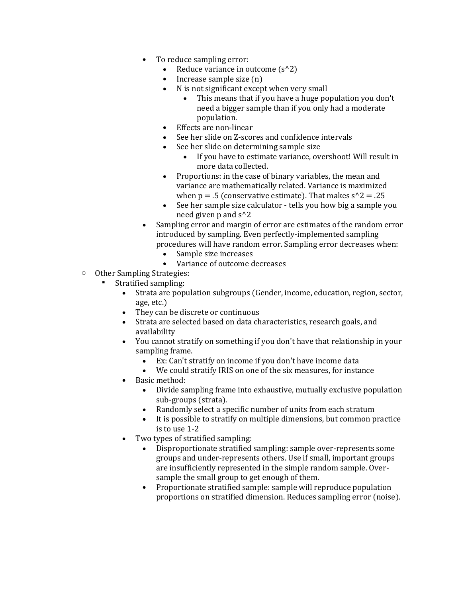- To reduce sampling error:
	- Reduce variance in outcome  $(s^2)$
	- Increase sample size (n)
	- N is not significant except when very small
		- This means that if you have a huge population you don't need a bigger sample than if you only had a moderate population.
	- Effects are non-linear
	- See her slide on Z-scores and confidence intervals
		- See her slide on determining sample size
			- If you have to estimate variance, overshoot! Will result in more data collected.
	- Proportions: in the case of binary variables, the mean and variance are mathematically related. Variance is maximized when  $p = .5$  (conservative estimate). That makes  $s^2 = .25$
	- See her sample size calculator tells you how big a sample you need given p and s^2
- Sampling error and margin of error are estimates of the random error introduced by sampling. Even perfectly-implemented sampling procedures will have random error. Sampling error decreases when:
	- Sample size increases
	- Variance of outcome decreases
- o Other Sampling Strategies:
	- Stratified sampling:
		- Strata are population subgroups (Gender, income, education, region, sector, age, etc.)
		- They can be discrete or continuous
		- Strata are selected based on data characteristics, research goals, and availability
		- You cannot stratify on something if you don't have that relationship in your sampling frame.
			- Ex: Can't stratify on income if you don't have income data
			- We could stratify IRIS on one of the six measures, for instance
		- Basic method:
			- Divide sampling frame into exhaustive, mutually exclusive population sub-groups (strata).
			- Randomly select a specific number of units from each stratum
			- It is possible to stratify on multiple dimensions, but common practice is to use 1-2
		- Two types of stratified sampling:
			- Disproportionate stratified sampling: sample over-represents some groups and under-represents others. Use if small, important groups are insufficiently represented in the simple random sample. Oversample the small group to get enough of them.
			- Proportionate stratified sample: sample will reproduce population proportions on stratified dimension. Reduces sampling error (noise).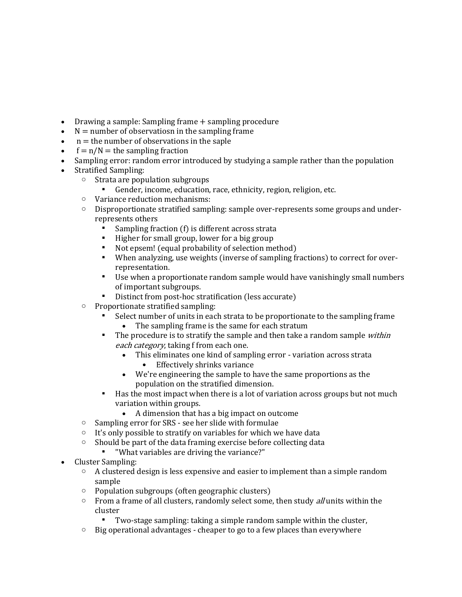- Drawing a sample: Sampling frame + sampling procedure
- $N =$  number of observatiosn in the sampling frame
- $n =$  the number of observations in the saple
- $f = n/N =$  the sampling fraction
- Sampling error: random error introduced by studying a sample rather than the population
- Stratified Sampling:
	- o Strata are population subgroups
		- Gender, income, education, race, ethnicity, region, religion, etc.
	- o Variance reduction mechanisms:
	- $\circ$  Disproportionate stratified sampling: sample over-represents some groups and underrepresents others
		- Sampling fraction (f) is different across strata
		- Higher for small group, lower for a big group
		- Not epsem! (equal probability of selection method)
		- When analyzing, use weights (inverse of sampling fractions) to correct for overrepresentation.
		- Use when a proportionate random sample would have vanishingly small numbers of important subgroups.
		- Distinct from post-hoc stratification (less accurate)
	- o Proportionate stratified sampling:
		- Select number of units in each strata to be proportionate to the sampling frame
			- The sampling frame is the same for each stratum
		- The procedure is to stratify the sample and then take a random sample within each category, taking f from each one.
			- This eliminates one kind of sampling error variation across strata
				- Effectively shrinks variance
			- We're engineering the sample to have the same proportions as the population on the stratified dimension.
		- Has the most impact when there is a lot of variation across groups but not much variation within groups.
			- A dimension that has a big impact on outcome
	- o Sampling error for SRS see her slide with formulae
	- $\circ$  It's only possible to stratify on variables for which we have data
	- $\circ$  Should be part of the data framing exercise before collecting data
		- "What variables are driving the variance?"
- Cluster Sampling:
	- $\circ$  A clustered design is less expensive and easier to implement than a simple random sample
	- o Population subgroups (often geographic clusters)
	- $\circ$  From a frame of all clusters, randomly select some, then study *all* units within the cluster
		- Two-stage sampling: taking a simple random sample within the cluster,
	- $\circ$  Big operational advantages cheaper to go to a few places than everywhere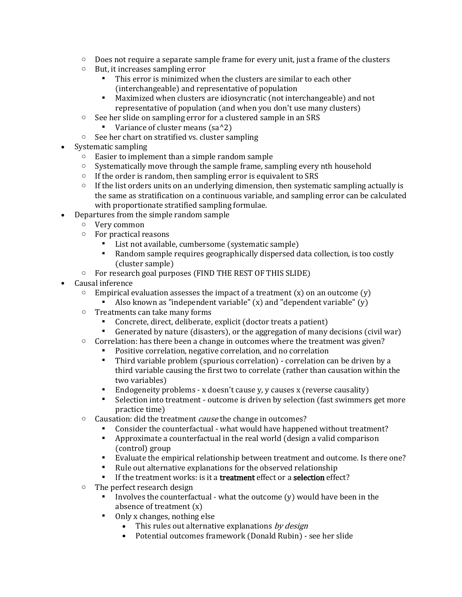- $\circ$  Does not require a separate sample frame for every unit, just a frame of the clusters
- o But, it increases sampling error
	- This error is minimized when the clusters are similar to each other (interchangeable) and representative of population
	- Maximized when clusters are idiosyncratic (not interchangeable) and not representative of population (and when you don't use many clusters)
- o See her slide on sampling error for a clustered sample in an SRS
	- Variance of cluster means  $(sa^2)$
- o See her chart on stratified vs. cluster sampling
- Systematic sampling
	- o Easier to implement than a simple random sample
	- $\circ$  Systematically move through the sample frame, sampling every nth household
	- $\circ$  If the order is random, then sampling error is equivalent to SRS
	- $\circ$  If the list orders units on an underlying dimension, then systematic sampling actually is the same as stratification on a continuous variable, and sampling error can be calculated with proportionate stratified sampling formulae.
- Departures from the simple random sample
	- o Very common
	- o For practical reasons
		- List not available, cumbersome (systematic sample)
		- Random sample requires geographically dispersed data collection, is too costly (cluster sample)
	- o For research goal purposes (FIND THE REST OF THIS SLIDE)
- Causal inference
	- $\circ$  Empirical evaluation assesses the impact of a treatment (x) on an outcome (y)
		- Also known as "independent variable"  $(x)$  and "dependent variable"  $(y)$
	- o Treatments can take many forms
		- Concrete, direct, deliberate, explicit (doctor treats a patient)
		- Generated by nature (disasters), or the aggregation of many decisions (civil war)
	- $\circ$  Correlation: has there been a change in outcomes where the treatment was given?
		- Positive correlation, negative correlation, and no correlation
		- Third variable problem (spurious correlation) correlation can be driven by a third variable causing the first two to correlate (rather than causation within the two variables)
		- Endogeneity problems x doesn't cause y, y causes x (reverse causality)
		- Selection into treatment outcome is driven by selection (fast swimmers get more practice time)
	- o Causation: did the treatment cause the change in outcomes?
		- Consider the counterfactual what would have happened without treatment?
		- Approximate a counterfactual in the real world (design a valid comparison (control) group
		- Evaluate the empirical relationship between treatment and outcome. Is there one?
		- Rule out alternative explanations for the observed relationship
		- If the treatment works: is it a **treatment** effect or a **selection** effect?
	- o The perfect research design
		- Involves the counterfactual what the outcome  $(y)$  would have been in the absence of treatment (x)
		- Only x changes, nothing else
			- This rules out alternative explanations by design
			- Potential outcomes framework (Donald Rubin) see her slide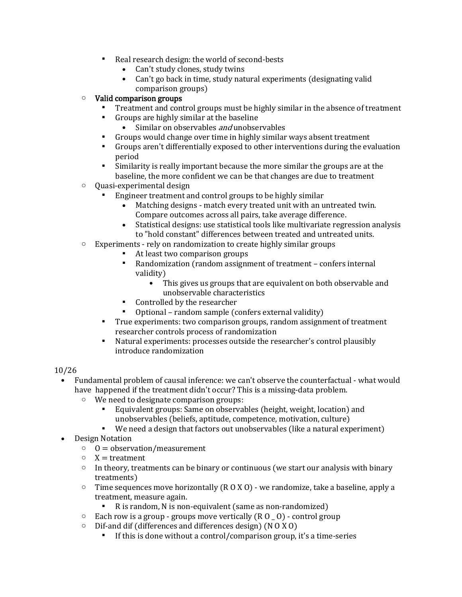- Real research design: the world of second-bests
	- Can't study clones, study twins
	- Can't go back in time, study natural experiments (designating valid comparison groups)

## o Valid comparison groups

- Treatment and control groups must be highly similar in the absence of treatment
- Groups are highly similar at the baseline
	- Similar on observables *and* unobservables
- Groups would change over time in highly similar ways absent treatment
- Groups aren't differentially exposed to other interventions during the evaluation period
- Similarity is really important because the more similar the groups are at the baseline, the more confident we can be that changes are due to treatment
- o Quasi-experimental design
	- Engineer treatment and control groups to be highly similar
		- Matching designs match every treated unit with an untreated twin. Compare outcomes across all pairs, take average difference.
		- Statistical designs: use statistical tools like multivariate regression analysis to "hold constant" differences between treated and untreated units.
- o Experiments rely on randomization to create highly similar groups
	- At least two comparison groups
	- Randomization (random assignment of treatment confers internal validity)
		- This gives us groups that are equivalent on both observable and unobservable characteristics
	- Controlled by the researcher
	- Optional random sample (confers external validity)
	- True experiments: two comparison groups, random assignment of treatment researcher controls process of randomization
	- Natural experiments: processes outside the researcher's control plausibly introduce randomization

## 10/26

- Fundamental problem of causal inference: we can't observe the counterfactual what would have happened if the treatment didn't occur? This is a missing-data problem.
	- o We need to designate comparison groups:
		- Equivalent groups: Same on observables (height, weight, location) and unobservables (beliefs, aptitude, competence, motivation, culture)
		- We need a design that factors out unobservables (like a natural experiment)
- Design Notation
	- $0 =$  observation/measurement
	- $\circ$  X = treatment
	- $\circ$  In theory, treatments can be binary or continuous (we start our analysis with binary treatments)
	- $\circ$  Time sequences move horizontally (R 0 X 0) we randomize, take a baseline, apply a treatment, measure again.
		- R is random, N is non-equivalent (same as non-randomized)
	- $\circ$  Each row is a group groups move vertically  $(R O_0)$  control group
	- $\circ$  Dif-and dif (differences and differences design) (N 0 X 0)
		- If this is done without a control/comparison group, it's a time-series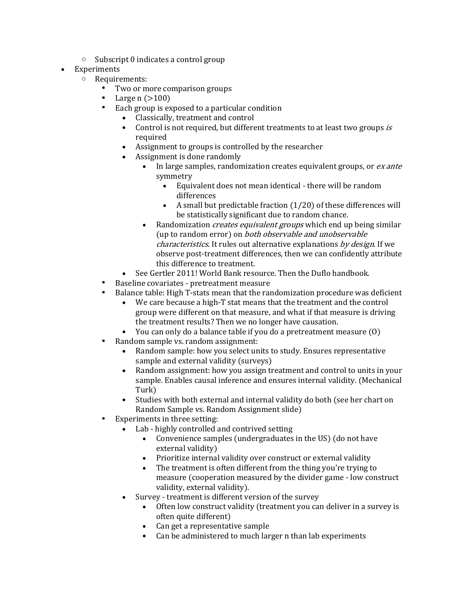- o Subscript 0 indicates a control group
- **Experiments** 
	- o Requirements:
		- Two or more comparison groups
		- Large  $n (>100)$
		- Each group is exposed to a particular condition
			- Classically, treatment and control
			- Control is not required, but different treatments to at least two groups is required
			- Assignment to groups is controlled by the researcher
			- Assignment is done randomly
				- In large samples, randomization creates equivalent groups, or *ex ante* symmetry
					- Equivalent does not mean identical there will be random differences
					- A small but predictable fraction (1/20) of these differences will be statistically significant due to random chance.
				- Randomization *creates equivalent groups* which end up being similar (up to random error) on both observable and unobservable characteristics. It rules out alternative explanations by design. If we observe post-treatment differences, then we can confidently attribute this difference to treatment.
		- See Gertler 2011! World Bank resource. Then the Duflo handbook.
		- Baseline covariates pretreatment measure
		- Balance table: High T-stats mean that the randomization procedure was deficient
			- We care because a high-T stat means that the treatment and the control group were different on that measure, and what if that measure is driving the treatment results? Then we no longer have causation.
			- You can only do a balance table if you do a pretreatment measure (O)
		- Random sample vs. random assignment:
			- Random sample: how you select units to study. Ensures representative sample and external validity (surveys)
			- Random assignment: how you assign treatment and control to units in your sample. Enables causal inference and ensures internal validity. (Mechanical Turk)
			- Studies with both external and internal validity do both (see her chart on Random Sample vs. Random Assignment slide)
		- Experiments in three setting:
			- Lab highly controlled and contrived setting
				- Convenience samples (undergraduates in the US) (do not have external validity)
				- Prioritize internal validity over construct or external validity
				- The treatment is often different from the thing you're trying to measure (cooperation measured by the divider game - low construct validity, external validity).
			- Survey treatment is different version of the survey
				- Often low construct validity (treatment you can deliver in a survey is often quite different)
				- Can get a representative sample
				- Can be administered to much larger n than lab experiments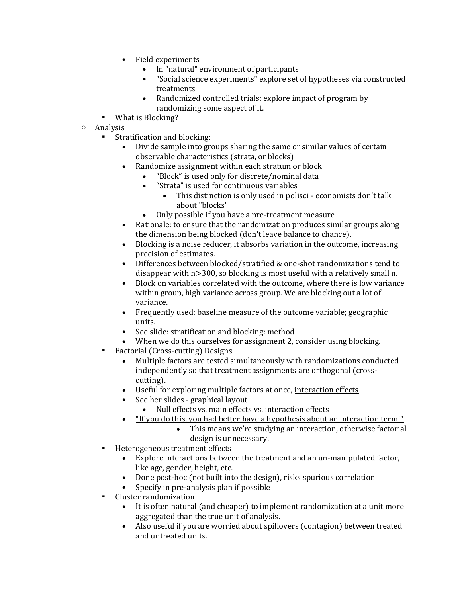- Field experiments
	- In "natural" environment of participants
	- "Social science experiments" explore set of hypotheses via constructed treatments
	- Randomized controlled trials: explore impact of program by randomizing some aspect of it.
- What is Blocking?
- o Analysis
	- Stratification and blocking:
		- Divide sample into groups sharing the same or similar values of certain observable characteristics (strata, or blocks)
		- Randomize assignment within each stratum or block
			- "Block" is used only for discrete/nominal data
			- "Strata" is used for continuous variables
				- This distinction is only used in polisci economists don't talk about "blocks"
			- Only possible if you have a pre-treatment measure
		- Rationale: to ensure that the randomization produces similar groups along the dimension being blocked (don't leave balance to chance).
		- Blocking is a noise reducer, it absorbs variation in the outcome, increasing precision of estimates.
		- Differences between blocked/stratified & one-shot randomizations tend to disappear with n>300, so blocking is most useful with a relatively small n.
		- Block on variables correlated with the outcome, where there is low variance within group, high variance across group. We are blocking out a lot of variance.
		- Frequently used: baseline measure of the outcome variable; geographic units.
		- See slide: stratification and blocking: method
		- When we do this ourselves for assignment 2, consider using blocking.
	- Factorial (Cross-cutting) Designs
		- Multiple factors are tested simultaneously with randomizations conducted independently so that treatment assignments are orthogonal (crosscutting).
		- Useful for exploring multiple factors at once, interaction effects
		- See her slides graphical layout
			- Null effects vs. main effects vs. interaction effects
			- "If you do this, you had better have a hypothesis about an interaction term!"
				- This means we're studying an interaction, otherwise factorial design is unnecessary.
	- Heterogeneous treatment effects
		- Explore interactions between the treatment and an un-manipulated factor, like age, gender, height, etc.
		- Done post-hoc (not built into the design), risks spurious correlation
		- Specify in pre-analysis plan if possible
	- Cluster randomization
		- It is often natural (and cheaper) to implement randomization at a unit more aggregated than the true unit of analysis.
		- Also useful if you are worried about spillovers (contagion) between treated and untreated units.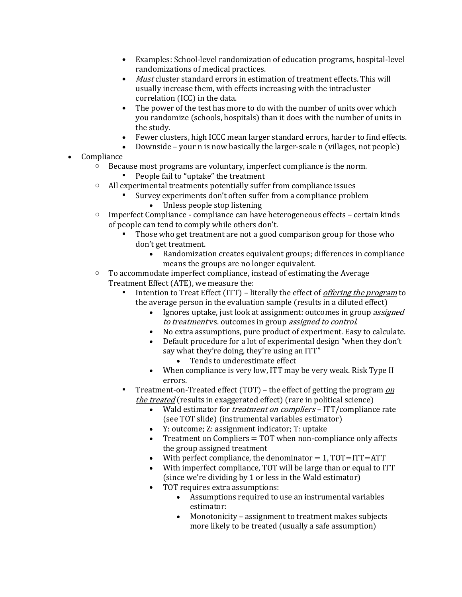- Examples: School-level randomization of education programs, hospital-level randomizations of medical practices.
- Must cluster standard errors in estimation of treatment effects. This will usually increase them, with effects increasing with the intracluster correlation (ICC) in the data.
- The power of the test has more to do with the number of units over which you randomize (schools, hospitals) than it does with the number of units in the study.
- Fewer clusters, high ICCC mean larger standard errors, harder to find effects.
- Downside your n is now basically the larger-scale n (villages, not people)
- Compliance
	- o Because most programs are voluntary, imperfect compliance is the norm.
		- People fail to "uptake" the treatment
	- o All experimental treatments potentially suffer from compliance issues
		- Survey experiments don't often suffer from a compliance problem
			- Unless people stop listening
	- $\circ$  Imperfect Compliance compliance can have heterogeneous effects certain kinds of people can tend to comply while others don't.
		- Those who get treatment are not a good comparison group for those who don't get treatment.
			- Randomization creates equivalent groups; differences in compliance means the groups are no longer equivalent.
	- o To accommodate imperfect compliance, instead of estimating the Average Treatment Effect (ATE), we measure the:
		- Intention to Treat Effect (ITT) literally the effect of *offering the program* to the average person in the evaluation sample (results in a diluted effect)
			- Ignores uptake, just look at assignment: outcomes in group *assigned* to treatment vs. outcomes in group assigned to control.
			- No extra assumptions, pure product of experiment. Easy to calculate.
			- Default procedure for a lot of experimental design "when they don't say what they're doing, they're using an ITT"
				- Tends to underestimate effect
			- When compliance is very low, ITT may be very weak. Risk Type II errors.
		- Treatment-on-Treated effect (TOT) the effect of getting the program  $\rho$ the treated (results in exaggerated effect) (rare in political science)
			- Wald estimator for *treatment on compliers* ITT/compliance rate (see TOT slide) (instrumental variables estimator)
			- Y: outcome; Z: assignment indicator; T: uptake
			- Treatment on Compliers = TOT when non-compliance only affects the group assigned treatment
			- With perfect compliance, the denominator  $= 1$ , TOT=ITT=ATT
			- With imperfect compliance, TOT will be large than or equal to ITT (since we're dividing by 1 or less in the Wald estimator)
			- TOT requires extra assumptions:
				- Assumptions required to use an instrumental variables estimator:
				- Monotonicity assignment to treatment makes subjects more likely to be treated (usually a safe assumption)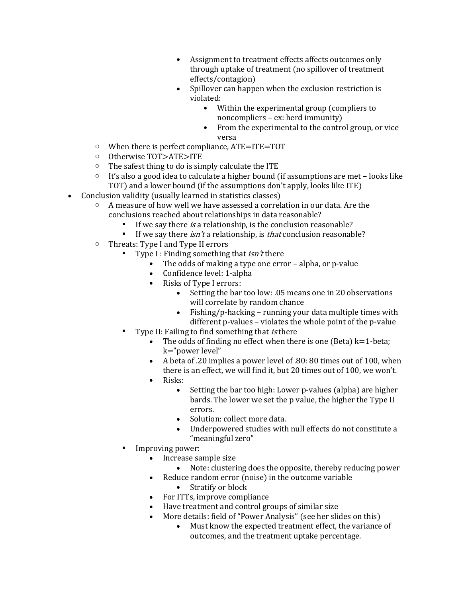- Assignment to treatment effects affects outcomes only through uptake of treatment (no spillover of treatment effects/contagion)
- Spillover can happen when the exclusion restriction is violated:
	- Within the experimental group (compliers to noncompliers – ex: herd immunity)
	- From the experimental to the control group, or vice versa
- $\circ$  When there is perfect compliance, ATE=ITE=TOT
- o Otherwise TOT>ATE>ITE
- o The safest thing to do is simply calculate the ITE
- $\circ$  It's also a good idea to calculate a higher bound (if assumptions are met looks like TOT) and a lower bound (if the assumptions don't apply, looks like ITE)
- Conclusion validity (usually learned in statistics classes)
	- A measure of how well we have assessed a correlation in our data. Are the conclusions reached about relationships in data reasonable?
		- If we say there is a relationship, is the conclusion reasonable?
		- **•** If we say there *isn't* a relationship, is *that* conclusion reasonable?
	- o Threats: Type I and Type II errors
		- Type I : Finding something that  $isn't$  there
			- The odds of making a type one error alpha, or p-value
			- Confidence level: 1-alpha
			- Risks of Type I errors:
				- Setting the bar too low: .05 means one in 20 observations will correlate by random chance
				- Fishing/p-hacking running your data multiple times with different p-values – violates the whole point of the p-value
		- Type II: Failing to find something that is there
			- The odds of finding no effect when there is one (Beta)  $k=1$ -beta; k="power level"
			- A beta of .20 implies a power level of .80: 80 times out of 100, when there is an effect, we will find it, but 20 times out of 100, we won't.
			- Risks:
				- Setting the bar too high: Lower p-values (alpha) are higher bards. The lower we set the p value, the higher the Type II errors.
				- Solution: collect more data.
				- Underpowered studies with null effects do not constitute a "meaningful zero"
		- Improving power:
			- Increase sample size
				- Note: clustering does the opposite, thereby reducing power
			- Reduce random error (noise) in the outcome variable
				- Stratify or block
			- For ITTs, improve compliance
			- Have treatment and control groups of similar size
			- More details: field of "Power Analysis" (see her slides on this)
				- Must know the expected treatment effect, the variance of outcomes, and the treatment uptake percentage.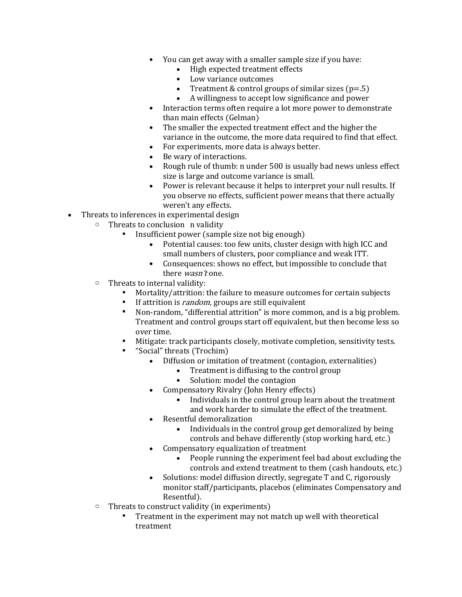- You can get away with a smaller sample size if you have:
	- High expected treatment effects
	- Low variance outcomes
	- Treatment & control groups of similar sizes  $(p=0.5)$
	- A willingness to accept low significance and power
- Interaction terms often require a lot more power to demonstrate than main effects (Gelman)
- The smaller the expected treatment effect and the higher the variance in the outcome, the more data required to find that effect.
- For experiments, more data is always better.
- Be wary of interactions.
- Rough rule of thumb: n under 500 is usually bad news unless effect size is large and outcome variance is small.
- Power is relevant because it helps to interpret your null results. If you observe no effects, sufficient power means that there actually weren't any effects.
- Threats to inferences in experimental design
	- o Threats to conclusion n validity
		- Insufficient power (sample size not big enough)
			- Potential causes: too few units, cluster design with high ICC and small numbers of clusters, poor compliance and weak ITT.
			- Consequences: shows no effect, but impossible to conclude that there *wasn't* one.
	- o Threats to internal validity:
		- Mortality/attrition: the failure to measure outcomes for certain subjects
		- If attrition is *random*, groups are still equivalent
		- Non-random, "differential attrition" is more common, and is a big problem. Treatment and control groups start off equivalent, but then become less so over time.
		- Mitigate: track participants closely, motivate completion, sensitivity tests.
		- "Social" threats (Trochim)
			- Diffusion or imitation of treatment (contagion, externalities)
				- Treatment is diffusing to the control group
					- Solution: model the contagion
			- Compensatory Rivalry (John Henry effects)
				- Individuals in the control group learn about the treatment and work harder to simulate the effect of the treatment.
			- Resentful demoralization
				- Individuals in the control group get demoralized by being controls and behave differently (stop working hard, etc.)
			- Compensatory equalization of treatment
				- People running the experiment feel bad about excluding the controls and extend treatment to them (cash handouts, etc.)
			- Solutions: model diffusion directly, segregate T and C, rigorously monitor staff/participants, placebos (eliminates Compensatory and Resentful).
	- o Threats to construct validity (in experiments)
		- Treatment in the experiment may not match up well with theoretical treatment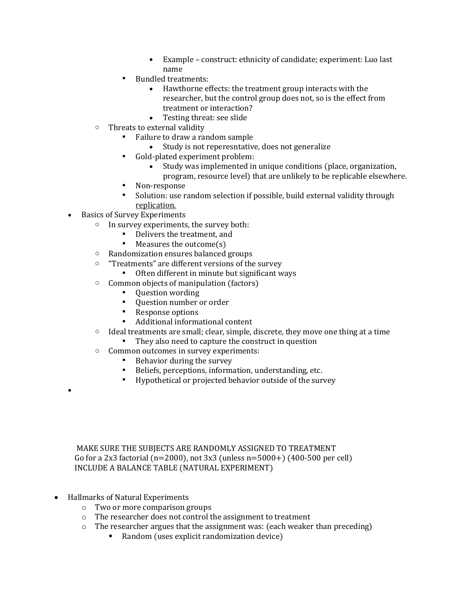- Example construct: ethnicity of candidate; experiment: Luo last name
- **Bundled treatments:** 
	- Hawthorne effects: the treatment group interacts with the researcher, but the control group does not, so is the effect from treatment or interaction?
	- Testing threat: see slide
- o Threats to external validity
	- Failure to draw a random sample
		- Study is not reperesntative, does not generalize
	- Gold-plated experiment problem:
		- Study was implemented in unique conditions (place, organization,
		- program, resource level) that are unlikely to be replicable elsewhere.
	- Non-response
	- Solution: use random selection if possible, build external validity through replication.
- Basics of Survey Experiments
	- o In survey experiments, the survey both:
		- Delivers the treatment, and
		- Measures the outcome(s)
	- o Randomization ensures balanced groups
	- o "Treatments" are different versions of the survey
		- Often different in minute but significant ways
	- o Common objects of manipulation (factors)
		- Question wording
		- Question number or order
		- Response options
		- Additional informational content
	- $\circ$  Ideal treatments are small; clear, simple, discrete, they move one thing at a time
		- They also need to capture the construct in question
	- o Common outcomes in survey experiments:
		- Behavior during the survey
		- Beliefs, perceptions, information, understanding, etc.
		- Hypothetical or projected behavior outside of the survey

MAKE SURE THE SUBJECTS ARE RANDOMLY ASSIGNED TO TREATMENT Go for a 2x3 factorial (n=2000), not 3x3 (unless n=5000+) (400-500 per cell) INCLUDE A BALANCE TABLE (NATURAL EXPERIMENT)

• Hallmarks of Natural Experiments

•

- o Two or more comparison groups
- o The researcher does not control the assignment to treatment
- o The researcher argues that the assignment was: (each weaker than preceding)
	- Random (uses explicit randomization device)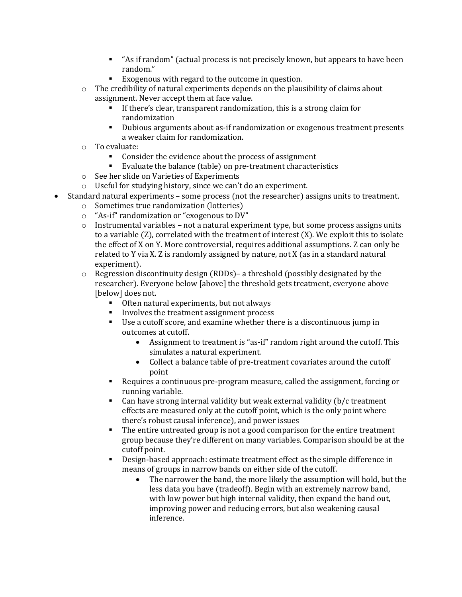- "As if random" (actual process is not precisely known, but appears to have been random."
- Exogenous with regard to the outcome in question.
- $\circ$  The credibility of natural experiments depends on the plausibility of claims about assignment. Never accept them at face value.
	- If there's clear, transparent randomization, this is a strong claim for randomization
	- Dubious arguments about as-if randomization or exogenous treatment presents a weaker claim for randomization.
- o To evaluate:
	- Consider the evidence about the process of assignment
	- Evaluate the balance (table) on pre-treatment characteristics
- o See her slide on Varieties of Experiments
- o Useful for studying history, since we can't do an experiment.
- Standard natural experiments some process (not the researcher) assigns units to treatment.
	- o Sometimes true randomization (lotteries)
	- o "As-if" randomization or "exogenous to DV"
	- $\circ$  Instrumental variables not a natural experiment type, but some process assigns units to a variable (Z), correlated with the treatment of interest (X). We exploit this to isolate the effect of X on Y. More controversial, requires additional assumptions. Z can only be related to Y via X. Z is randomly assigned by nature, not X (as in a standard natural experiment).
	- o Regression discontinuity design (RDDs)– a threshold (possibly designated by the researcher). Everyone below [above] the threshold gets treatment, everyone above [below] does not.
		- Often natural experiments, but not always
		- Involves the treatment assignment process
		- Use a cutoff score, and examine whether there is a discontinuous jump in outcomes at cutoff.
			- Assignment to treatment is "as-if" random right around the cutoff. This simulates a natural experiment.
			- Collect a balance table of pre-treatment covariates around the cutoff point
		- Requires a continuous pre-program measure, called the assignment, forcing or running variable.
		- Can have strong internal validity but weak external validity (b/c treatment effects are measured only at the cutoff point, which is the only point where there's robust causal inference), and power issues
		- The entire untreated group is not a good comparison for the entire treatment group because they're different on many variables. Comparison should be at the cutoff point.
		- Design-based approach: estimate treatment effect as the simple difference in means of groups in narrow bands on either side of the cutoff.
			- The narrower the band, the more likely the assumption will hold, but the less data you have (tradeoff). Begin with an extremely narrow band, with low power but high internal validity, then expand the band out, improving power and reducing errors, but also weakening causal inference.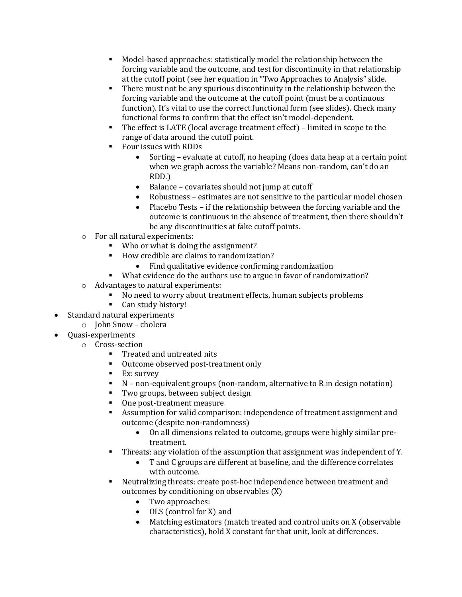- Model-based approaches: statistically model the relationship between the forcing variable and the outcome, and test for discontinuity in that relationship at the cutoff point (see her equation in "Two Approaches to Analysis" slide.
- There must not be any spurious discontinuity in the relationship between the forcing variable and the outcome at the cutoff point (must be a continuous function). It's vital to use the correct functional form (see slides). Check many functional forms to confirm that the effect isn't model-dependent.
- The effect is LATE (local average treatment effect) limited in scope to the range of data around the cutoff point.
- Four issues with RDDs
	- Sorting evaluate at cutoff, no heaping (does data heap at a certain point when we graph across the variable? Means non-random, can't do an RDD.)
	- Balance covariates should not jump at cutoff
	- Robustness estimates are not sensitive to the particular model chosen
	- Placebo Tests if the relationship between the forcing variable and the outcome is continuous in the absence of treatment, then there shouldn't be any discontinuities at fake cutoff points.
- o For all natural experiments:
	- Who or what is doing the assignment?
	- How credible are claims to randomization?
		- Find qualitative evidence confirming randomization
	- What evidence do the authors use to argue in favor of randomization?
- o Advantages to natural experiments:
	- No need to worry about treatment effects, human subjects problems
	- Can study history!
- Standard natural experiments
	- o John Snow cholera
- Quasi-experiments
	- o Cross-section
		- Treated and untreated nits
		- Outcome observed post-treatment only
		- Ex: survey
		- N non-equivalent groups (non-random, alternative to R in design notation)
		- Two groups, between subject design
		- One post-treatment measure
		- Assumption for valid comparison: independence of treatment assignment and outcome (despite non-randomness)
			- On all dimensions related to outcome, groups were highly similar pretreatment.
		- **•** Threats: any violation of the assumption that assignment was independent of Y.
			- T and C groups are different at baseline, and the difference correlates with outcome.
		- Neutralizing threats: create post-hoc independence between treatment and outcomes by conditioning on observables (X)
			- Two approaches:
			- OLS (control for X) and
			- Matching estimators (match treated and control units on X (observable characteristics), hold X constant for that unit, look at differences.